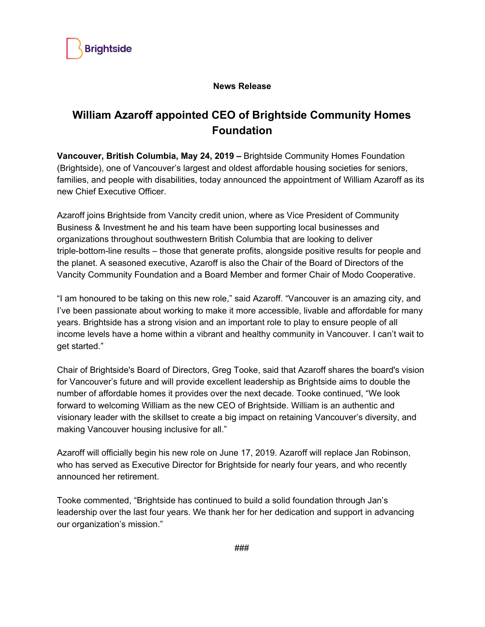

## **News Release**

## **William Azaroff appointed CEO of Brightside Community Homes Foundation**

**Vancouver, British Columbia, May 24, 2019 –** Brightside Community Homes Foundation (Brightside), one of Vancouver's largest and oldest affordable housing societies for seniors, families, and people with disabilities, today announced the appointment of William Azaroff as its new Chief Executive Officer.

Azaroff joins Brightside from Vancity credit union, where as Vice President of Community Business & Investment he and his team have been supporting local businesses and organizations throughout southwestern British Columbia that are looking to deliver triple-bottom-line results – those that generate profits, alongside positive results for people and the planet. A seasoned executive, Azaroff is also the Chair of the Board of Directors of the Vancity Community Foundation and a Board Member and former Chair of Modo Cooperative.

"I am honoured to be taking on this new role," said Azaroff. "Vancouver is an amazing city, and I've been passionate about working to make it more accessible, livable and affordable for many years. Brightside has a strong vision and an important role to play to ensure people of all income levels have a home within a vibrant and healthy community in Vancouver. I can't wait to get started."

Chair of Brightside's Board of Directors, Greg Tooke, said that Azaroff shares the board's vision for Vancouver's future and will provide excellent leadership as Brightside aims to double the number of affordable homes it provides over the next decade. Tooke continued, "We look forward to welcoming William as the new CEO of Brightside. William is an authentic and visionary leader with the skillset to create a big impact on retaining Vancouver's diversity, and making Vancouver housing inclusive for all."

Azaroff will officially begin his new role on June 17, 2019. Azaroff will replace Jan Robinson, who has served as Executive Director for Brightside for nearly four years, and who recently announced her retirement.

Tooke commented, "Brightside has continued to build a solid foundation through Jan's leadership over the last four years. We thank her for her dedication and support in advancing our organization's mission."